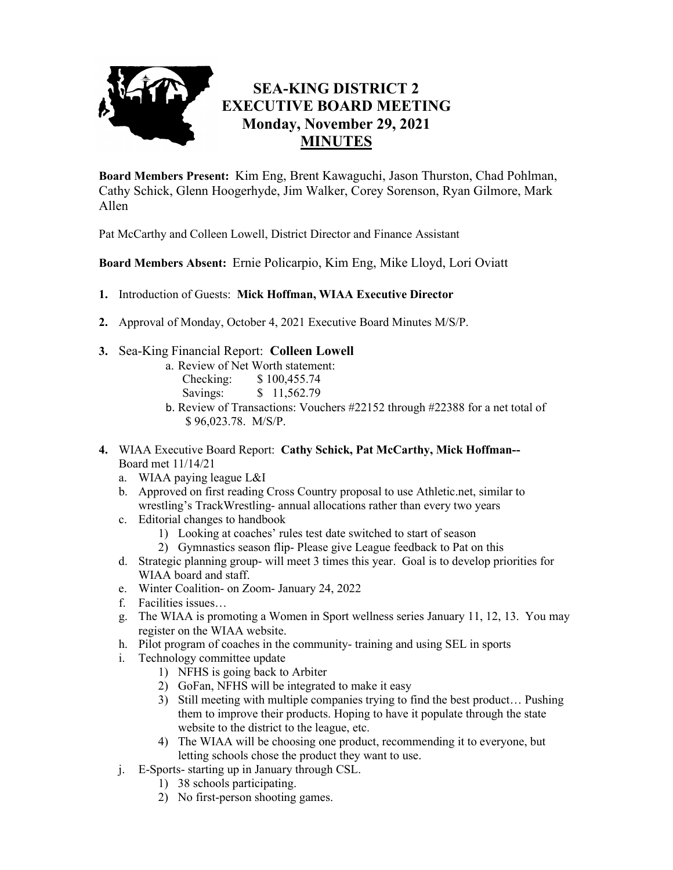

## **SEA-KING DISTRICT 2 EXECUTIVE BOARD MEETING Monday, November 29, 2021 MINUTES**

**Board Members Present:** Kim Eng, Brent Kawaguchi, Jason Thurston, Chad Pohlman, Cathy Schick, Glenn Hoogerhyde, Jim Walker, Corey Sorenson, Ryan Gilmore, Mark Allen

Pat McCarthy and Colleen Lowell, District Director and Finance Assistant

**Board Members Absent:** Ernie Policarpio, Kim Eng, Mike Lloyd, Lori Oviatt

- **1.** Introduction of Guests: **Mick Hoffman, WIAA Executive Director**
- **2.** Approval of Monday, October 4, 2021 Executive Board Minutes M/S/P.
- **3.** Sea-King Financial Report: **Colleen Lowell**
	- a. Review of Net Worth statement:
		- Checking: \$ 100,455.74
		- Savings: \$ 11,562.79
	- b. Review of Transactions: Vouchers #22152 through #22388 for a net total of \$ 96,023.78. M/S/P.
- **4.** WIAA Executive Board Report: **Cathy Schick, Pat McCarthy, Mick Hoffman--**  Board met 11/14/21
	- a. WIAA paying league L&I
	- b. Approved on first reading Cross Country proposal to use Athletic.net, similar to wrestling's TrackWrestling- annual allocations rather than every two years
	- c. Editorial changes to handbook
		- 1) Looking at coaches' rules test date switched to start of season
		- 2) Gymnastics season flip- Please give League feedback to Pat on this
	- d. Strategic planning group- will meet 3 times this year. Goal is to develop priorities for WIAA board and staff.
	- e. Winter Coalition- on Zoom- January 24, 2022
	- f. Facilities issues…
	- g. The WIAA is promoting a Women in Sport wellness series January 11, 12, 13. You may register on the WIAA website.
	- h. Pilot program of coaches in the community- training and using SEL in sports
	- i. Technology committee update
		- 1) NFHS is going back to Arbiter
		- 2) GoFan, NFHS will be integrated to make it easy
		- 3) Still meeting with multiple companies trying to find the best product… Pushing them to improve their products. Hoping to have it populate through the state website to the district to the league, etc.
		- 4) The WIAA will be choosing one product, recommending it to everyone, but letting schools chose the product they want to use.
	- j. E-Sports- starting up in January through CSL.
		- 1) 38 schools participating.
		- 2) No first-person shooting games.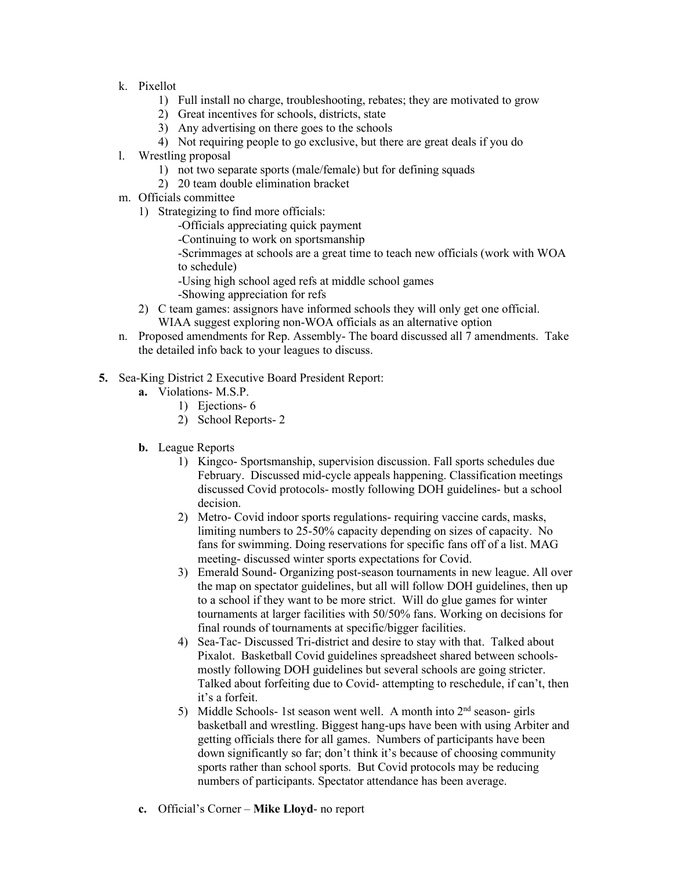- k. Pixellot
	- 1) Full install no charge, troubleshooting, rebates; they are motivated to grow
	- 2) Great incentives for schools, districts, state
	- 3) Any advertising on there goes to the schools
	- 4) Not requiring people to go exclusive, but there are great deals if you do
- l. Wrestling proposal
	- 1) not two separate sports (male/female) but for defining squads
	- 2) 20 team double elimination bracket
- m. Officials committee
	- 1) Strategizing to find more officials:
		- -Officials appreciating quick payment
		- -Continuing to work on sportsmanship

-Scrimmages at schools are a great time to teach new officials (work with WOA to schedule)

- -Using high school aged refs at middle school games
- -Showing appreciation for refs
- 2) C team games: assignors have informed schools they will only get one official. WIAA suggest exploring non-WOA officials as an alternative option
- n. Proposed amendments for Rep. Assembly- The board discussed all 7 amendments. Take the detailed info back to your leagues to discuss.
- **5.** Sea-King District 2 Executive Board President Report:
	- **a.** Violations- M.S.P.
		- 1) Ejections- 6
		- 2) School Reports- 2
	- **b.** League Reports
		- 1) Kingco- Sportsmanship, supervision discussion. Fall sports schedules due February. Discussed mid-cycle appeals happening. Classification meetings discussed Covid protocols- mostly following DOH guidelines- but a school decision.
		- 2) Metro- Covid indoor sports regulations- requiring vaccine cards, masks, limiting numbers to 25-50% capacity depending on sizes of capacity. No fans for swimming. Doing reservations for specific fans off of a list. MAG meeting- discussed winter sports expectations for Covid.
		- 3) Emerald Sound- Organizing post-season tournaments in new league. All over the map on spectator guidelines, but all will follow DOH guidelines, then up to a school if they want to be more strict. Will do glue games for winter tournaments at larger facilities with 50/50% fans. Working on decisions for final rounds of tournaments at specific/bigger facilities.
		- 4) Sea-Tac- Discussed Tri-district and desire to stay with that. Talked about Pixalot. Basketball Covid guidelines spreadsheet shared between schoolsmostly following DOH guidelines but several schools are going stricter. Talked about forfeiting due to Covid- attempting to reschedule, if can't, then it's a forfeit.
		- 5) Middle Schools- 1st season went well. A month into  $2<sup>nd</sup>$  season- girls basketball and wrestling. Biggest hang-ups have been with using Arbiter and getting officials there for all games. Numbers of participants have been down significantly so far; don't think it's because of choosing community sports rather than school sports. But Covid protocols may be reducing numbers of participants. Spectator attendance has been average.
	- **c.** Official's Corner **Mike Lloyd** no report